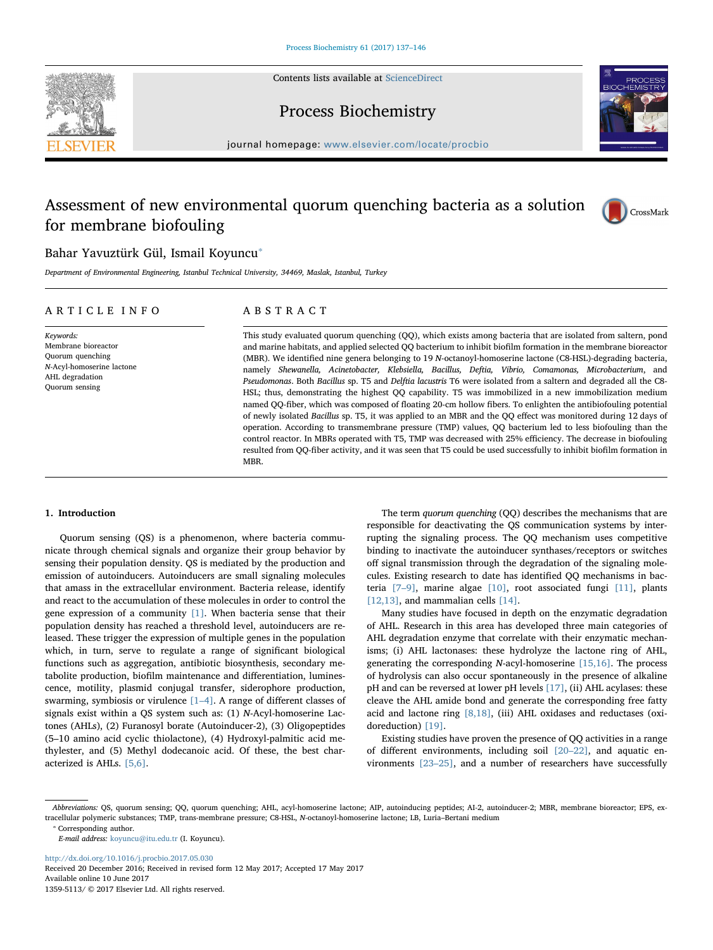Contents lists available at [ScienceDirect](http://www.sciencedirect.com/science/journal/13595113)





Process Biochemistry

journal homepage: [www.elsevier.com/locate/procbio](http://www.elsevier.com/locate/procbio)

# Assessment of new environmental quorum quenching bacteria as a solution for membrane biofouling



## Bahar Yavuztürk Gül, Ismail Koyuncu

Department of Environmental Engineering, Istanbul Technical University, 34469, Maslak, Istanbul, Turkey

### ARTICLE INFO

Keywords: Membrane bioreactor Quorum quenching N-Acyl-homoserine lactone AHL degradation Quorum sensing

ABSTRACT

This study evaluated quorum quenching (QQ), which exists among bacteria that are isolated from saltern, pond and marine habitats, and applied selected QQ bacterium to inhibit biofilm formation in the membrane bioreactor (MBR). We identified nine genera belonging to 19 N-octanoyl-homoserine lactone (C8-HSL)-degrading bacteria, namely Shewanella, Acinetobacter, Klebsiella, Bacillus, Deftia, Vibrio, Comamonas, Microbacterium, and Pseudomonas. Both Bacillus sp. T5 and Delftia lacustris T6 were isolated from a saltern and degraded all the C8- HSL; thus, demonstrating the highest QQ capability. T5 was immobilized in a new immobilization medium named QQ-fiber, which was composed of floating 20-cm hollow fibers. To enlighten the antibiofouling potential of newly isolated Bacillus sp. T5, it was applied to an MBR and the QQ effect was monitored during 12 days of operation. According to transmembrane pressure (TMP) values, QQ bacterium led to less biofouling than the control reactor. In MBRs operated with T5, TMP was decreased with 25% efficiency. The decrease in biofouling resulted from QQ-fiber activity, and it was seen that T5 could be used successfully to inhibit biofilm formation in MBR.

#### 1. Introduction

Quorum sensing (QS) is a phenomenon, where bacteria communicate through chemical signals and organize their group behavior by sensing their population density. QS is mediated by the production and emission of autoinducers. Autoinducers are small signaling molecules that amass in the extracellular environment. Bacteria release, identify and react to the accumulation of these molecules in order to control the gene expression of a community [\[1\].](#page--1-0) When bacteria sense that their population density has reached a threshold level, autoinducers are released. These trigger the expression of multiple genes in the population which, in turn, serve to regulate a range of significant biological functions such as aggregation, antibiotic biosynthesis, secondary metabolite production, biofilm maintenance and differentiation, luminescence, motility, plasmid conjugal transfer, siderophore production, swarming, symbiosis or virulence [\[1](#page--1-0)–4]. A range of different classes of signals exist within a QS system such as: (1) N-Acyl-homoserine Lactones (AHLs), (2) Furanosyl borate (Autoinducer-2), (3) Oligopeptides (5–10 amino acid cyclic thiolactone), (4) Hydroxyl-palmitic acid methylester, and (5) Methyl dodecanoic acid. Of these, the best characterized is AHLs. [\[5,6\]](#page--1-1).

The term quorum quenching (QQ) describes the mechanisms that are responsible for deactivating the QS communication systems by interrupting the signaling process. The QQ mechanism uses competitive binding to inactivate the autoinducer synthases/receptors or switches off signal transmission through the degradation of the signaling molecules. Existing research to date has identified QQ mechanisms in bacteria [7–[9\]](#page--1-2), marine algae [\[10\]](#page--1-3), root associated fungi [\[11\]](#page--1-4), plants [\[12,13\],](#page--1-5) and mammalian cells [\[14\]](#page--1-6).

Many studies have focused in depth on the enzymatic degradation of AHL. Research in this area has developed three main categories of AHL degradation enzyme that correlate with their enzymatic mechanisms; (i) AHL lactonases: these hydrolyze the lactone ring of AHL, generating the corresponding N-acyl-homoserine [\[15,16\]](#page--1-7). The process of hydrolysis can also occur spontaneously in the presence of alkaline pH and can be reversed at lower pH levels [\[17\],](#page--1-8) (ii) AHL acylases: these cleave the AHL amide bond and generate the corresponding free fatty acid and lactone ring [\[8,18\]](#page--1-9), (iii) AHL oxidases and reductases (oxidoreduction) [\[19\].](#page--1-10)

Existing studies have proven the presence of QQ activities in a range of different environments, including soil [20–[22\],](#page--1-11) and aquatic environments [23–[25\],](#page--1-12) and a number of researchers have successfully

<http://dx.doi.org/10.1016/j.procbio.2017.05.030> Received 20 December 2016; Received in revised form 12 May 2017; Accepted 17 May 2017 Available online 10 June 2017

1359-5113/ © 2017 Elsevier Ltd. All rights reserved.

Abbreviations: QS, quorum sensing; QQ, quorum quenching; AHL, acyl-homoserine lactone; AIP, autoinducing peptides; AI-2, autoinducer-2; MBR, membrane bioreactor; EPS, extracellular polymeric substances; TMP, trans-membrane pressure; C8-HSL, N-octanoyl-homoserine lactone; LB, Luria–Bertani medium

<span id="page-0-0"></span><sup>⁎</sup> Corresponding author.

E-mail address: [koyuncu@itu.edu.tr](mailto:koyuncu@itu.edu.tr) (I. Koyuncu).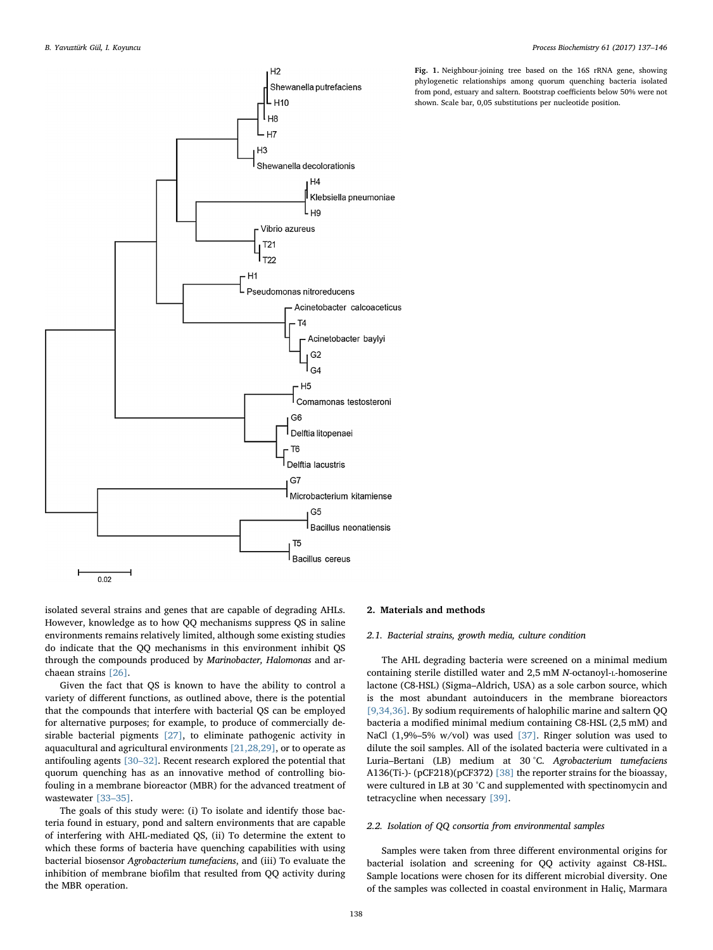

Fig. 1. Neighbour-joining tree based on the 16S rRNA gene, showing phylogenetic relationships among quorum quenching bacteria isolated from pond, estuary and saltern. Bootstrap coefficients below 50% were not shown. Scale bar, 0,05 substitutions per nucleotide position.

isolated several strains and genes that are capable of degrading AHLs. However, knowledge as to how QQ mechanisms suppress QS in saline environments remains relatively limited, although some existing studies do indicate that the QQ mechanisms in this environment inhibit QS through the compounds produced by Marinobacter, Halomonas and archaean strains [\[26\].](#page--1-13)

Given the fact that QS is known to have the ability to control a variety of different functions, as outlined above, there is the potential that the compounds that interfere with bacterial QS can be employed for alternative purposes; for example, to produce of commercially desirable bacterial pigments [\[27\],](#page--1-14) to eliminate pathogenic activity in aquacultural and agricultural environments [\[21,28,29\]](#page--1-15), or to operate as antifouling agents [30–[32\].](#page--1-16) Recent research explored the potential that quorum quenching has as an innovative method of controlling biofouling in a membrane bioreactor (MBR) for the advanced treatment of wastewater [\[33](#page--1-17)–35].

The goals of this study were: (i) To isolate and identify those bacteria found in estuary, pond and saltern environments that are capable of interfering with AHL-mediated QS, (ii) To determine the extent to which these forms of bacteria have quenching capabilities with using bacterial biosensor Agrobacterium tumefaciens, and (iii) To evaluate the inhibition of membrane biofilm that resulted from QQ activity during the MBR operation.

#### 2. Materials and methods

#### 2.1. Bacterial strains, growth media, culture condition

The AHL degrading bacteria were screened on a minimal medium containing sterile distilled water and 2,5 mM N-octanoyl-L-homoserine lactone (C8-HSL) (Sigma–Aldrich, USA) as a sole carbon source, which is the most abundant autoinducers in the membrane bioreactors [\[9,34,36\]](#page--1-18). By sodium requirements of halophilic marine and saltern QQ bacteria a modified minimal medium containing C8-HSL (2,5 mM) and NaCl (1,9%–5% w/vol) was used [\[37\]](#page--1-19). Ringer solution was used to dilute the soil samples. All of the isolated bacteria were cultivated in a Luria–Bertani (LB) medium at 30 °C. Agrobacterium tumefaciens A136(Ti-)- (pCF218)(pCF372) [\[38\]](#page--1-20) the reporter strains for the bioassay, were cultured in LB at 30 °C and supplemented with spectinomycin and tetracycline when necessary [\[39\].](#page--1-21)

#### 2.2. Isolation of QQ consortia from environmental samples

Samples were taken from three different environmental origins for bacterial isolation and screening for QQ activity against C8-HSL. Sample locations were chosen for its different microbial diversity. One of the samples was collected in coastal environment in Haliç, Marmara